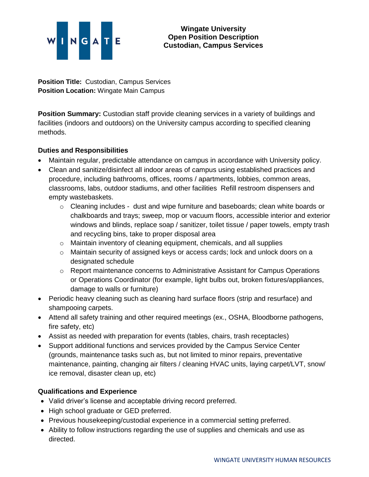

**Wingate University Open Position Description Custodian, Campus Services**

**Position Title:** Custodian, Campus Services **Position Location:** Wingate Main Campus

**Position Summary:** Custodian staff provide cleaning services in a variety of buildings and facilities (indoors and outdoors) on the University campus according to specified cleaning methods.

## **Duties and Responsibilities**

- Maintain regular, predictable attendance on campus in accordance with University policy.
- Clean and sanitize/disinfect all indoor areas of campus using established practices and procedure, including bathrooms, offices, rooms / apartments, lobbies, common areas, classrooms, labs, outdoor stadiums, and other facilities Refill restroom dispensers and empty wastebaskets.
	- $\circ$  Cleaning includes dust and wipe furniture and baseboards; clean white boards or chalkboards and trays; sweep, mop or vacuum floors, accessible interior and exterior windows and blinds, replace soap / sanitizer, toilet tissue / paper towels, empty trash and recycling bins, take to proper disposal area
	- o Maintain inventory of cleaning equipment, chemicals, and all supplies
	- o Maintain security of assigned keys or access cards; lock and unlock doors on a designated schedule
	- o Report maintenance concerns to Administrative Assistant for Campus Operations or Operations Coordinator (for example, light bulbs out, broken fixtures/appliances, damage to walls or furniture)
- Periodic heavy cleaning such as cleaning hard surface floors (strip and resurface) and shampooing carpets.
- Attend all safety training and other required meetings (ex., OSHA, Bloodborne pathogens, fire safety, etc)
- Assist as needed with preparation for events (tables, chairs, trash receptacles)
- Support additional functions and services provided by the Campus Service Center (grounds, maintenance tasks such as, but not limited to minor repairs, preventative maintenance, painting, changing air filters / cleaning HVAC units, laying carpet/LVT, snow/ ice removal, disaster clean up, etc)

## **Qualifications and Experience**

- Valid driver's license and acceptable driving record preferred.
- High school graduate or GED preferred.
- Previous housekeeping/custodial experience in a commercial setting preferred.
- Ability to follow instructions regarding the use of supplies and chemicals and use as directed.